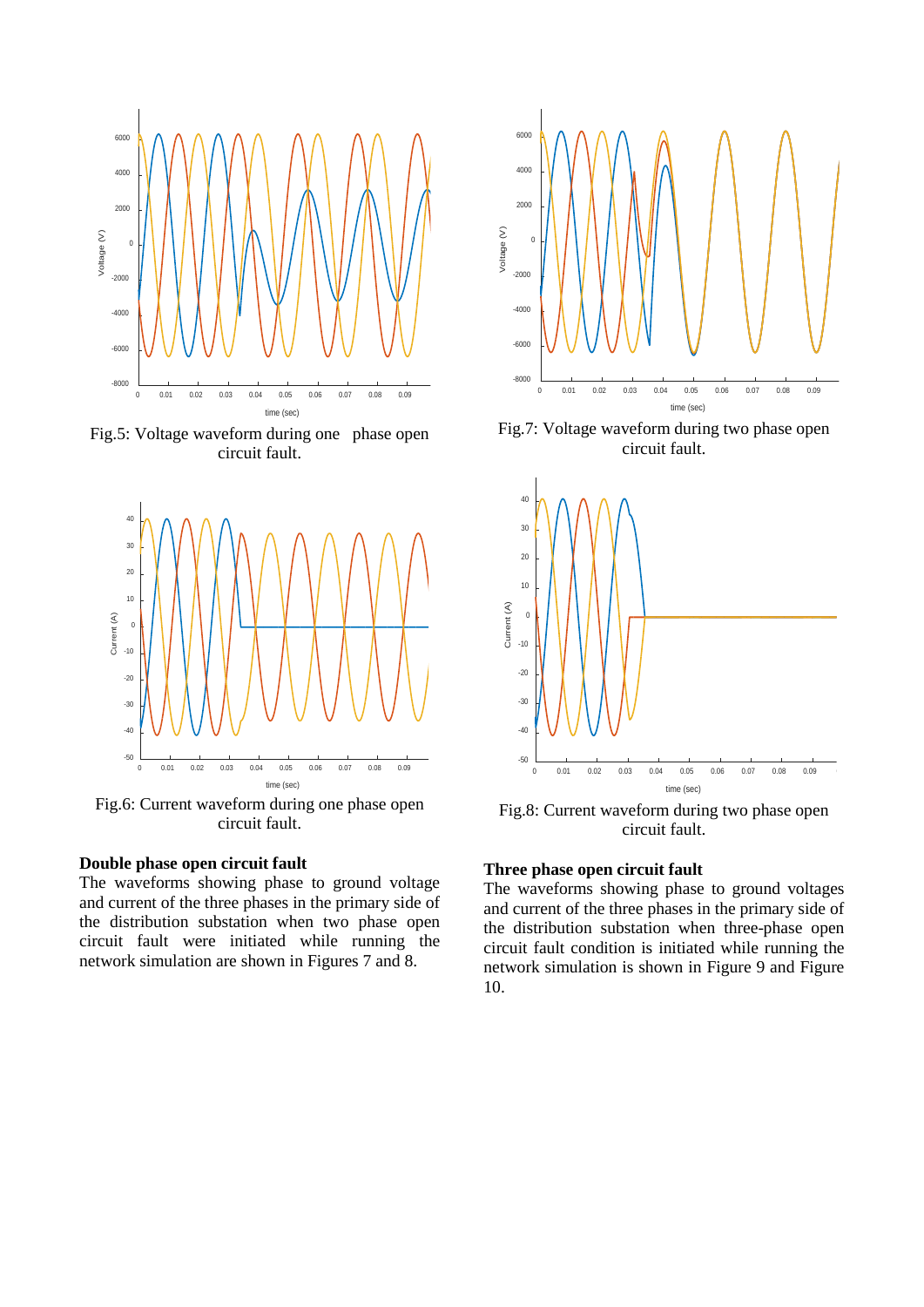

Fig.5: Voltage waveform during one phase open circuit fault.



Fig.6: Current waveform during one phase open circuit fault.

# **Double phase open circuit fault**

The waveforms showing phase to ground voltage and current of the three phases in the primary side of the distribution substation when two phase open circuit fault were initiated while running the network simulation are shown in Figures 7 and 8.



Fig.7: Voltage waveform during two phase open circuit fault.



Fig.8: Current waveform during two phase open circuit fault.

# **Three phase open circuit fault**

The waveforms showing phase to ground voltages and current of the three phases in the primary side of the distribution substation when three-phase open circuit fault condition is initiated while running the network simulation is shown in Figure 9 and Figure 10.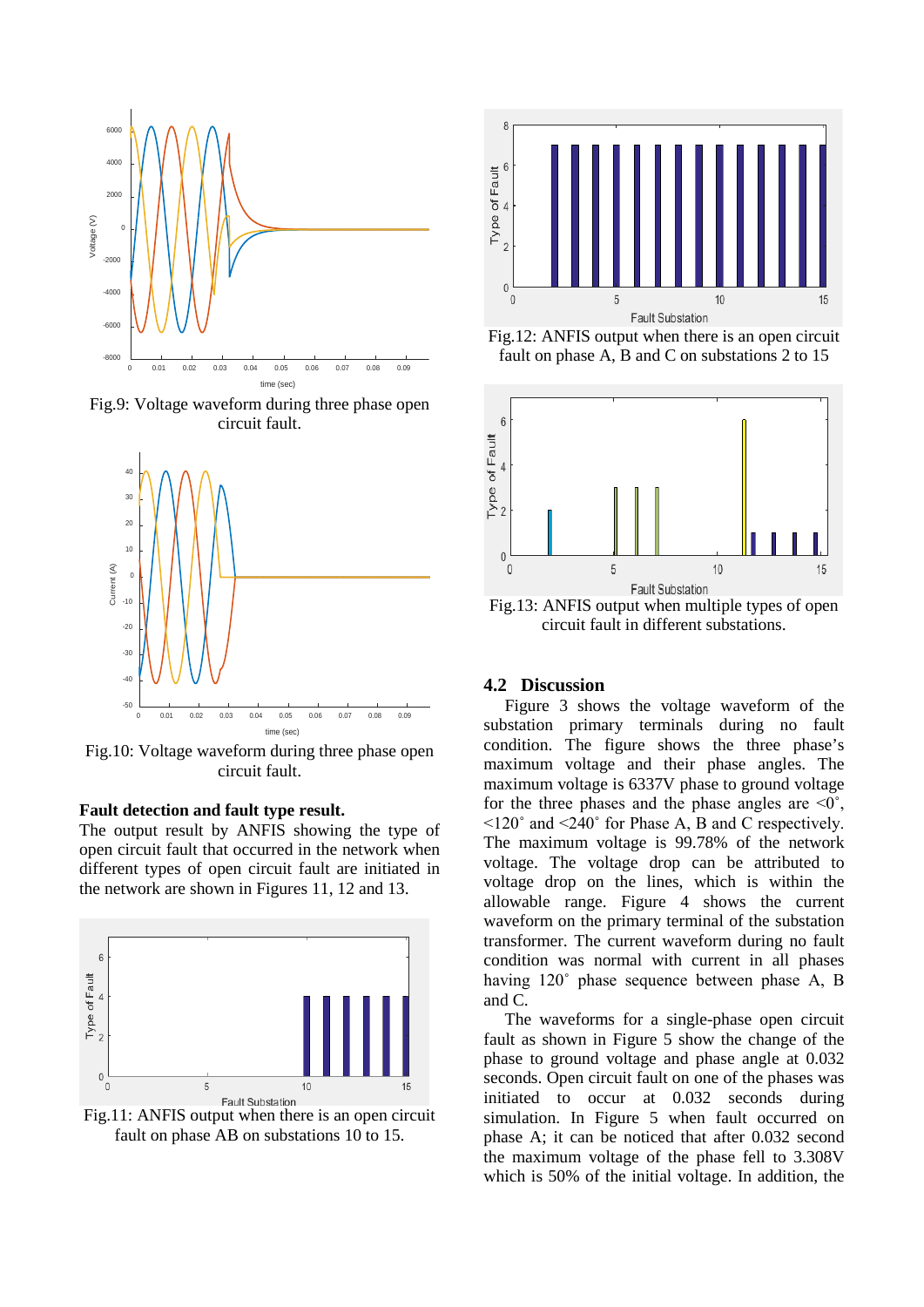

Fig.9: Voltage waveform during three phase open circuit fault.



Fig.10: Voltage waveform during three phase open circuit fault.

#### **Fault detection and fault type result.**

The output result by ANFIS showing the type of open circuit fault that occurred in the network when different types of open circuit fault are initiated in the network are shown in Figures 11, 12 and 13.



Fig.11: ANFIS output when there is an open circuit fault on phase AB on substations 10 to 15.



Fig.12: ANFIS output when there is an open circuit fault on phase A, B and C on substations 2 to 15



Fig.13: ANFIS output when multiple types of open circuit fault in different substations.

# **4.2 Discussion**

Figure 3 shows the voltage waveform of the substation primary terminals during no fault condition. The figure shows the three phase's maximum voltage and their phase angles. The maximum voltage is 6337V phase to ground voltage for the three phases and the phase angles are  $\leq 0^\circ$ ,  $\leq$ 120 $\degree$  and  $\leq$ 240 $\degree$  for Phase A, B and C respectively. The maximum voltage is 99.78% of the network voltage. The voltage drop can be attributed to voltage drop on the lines, which is within the allowable range. Figure 4 shows the current waveform on the primary terminal of the substation transformer. The current waveform during no fault condition was normal with current in all phases having 120° phase sequence between phase A, B and C.

The waveforms for a single-phase open circuit fault as shown in Figure 5 show the change of the phase to ground voltage and phase angle at 0.032 seconds. Open circuit fault on one of the phases was initiated to occur at 0.032 seconds during simulation. In Figure 5 when fault occurred on phase A; it can be noticed that after 0.032 second the maximum voltage of the phase fell to 3.308V which is 50% of the initial voltage. In addition, the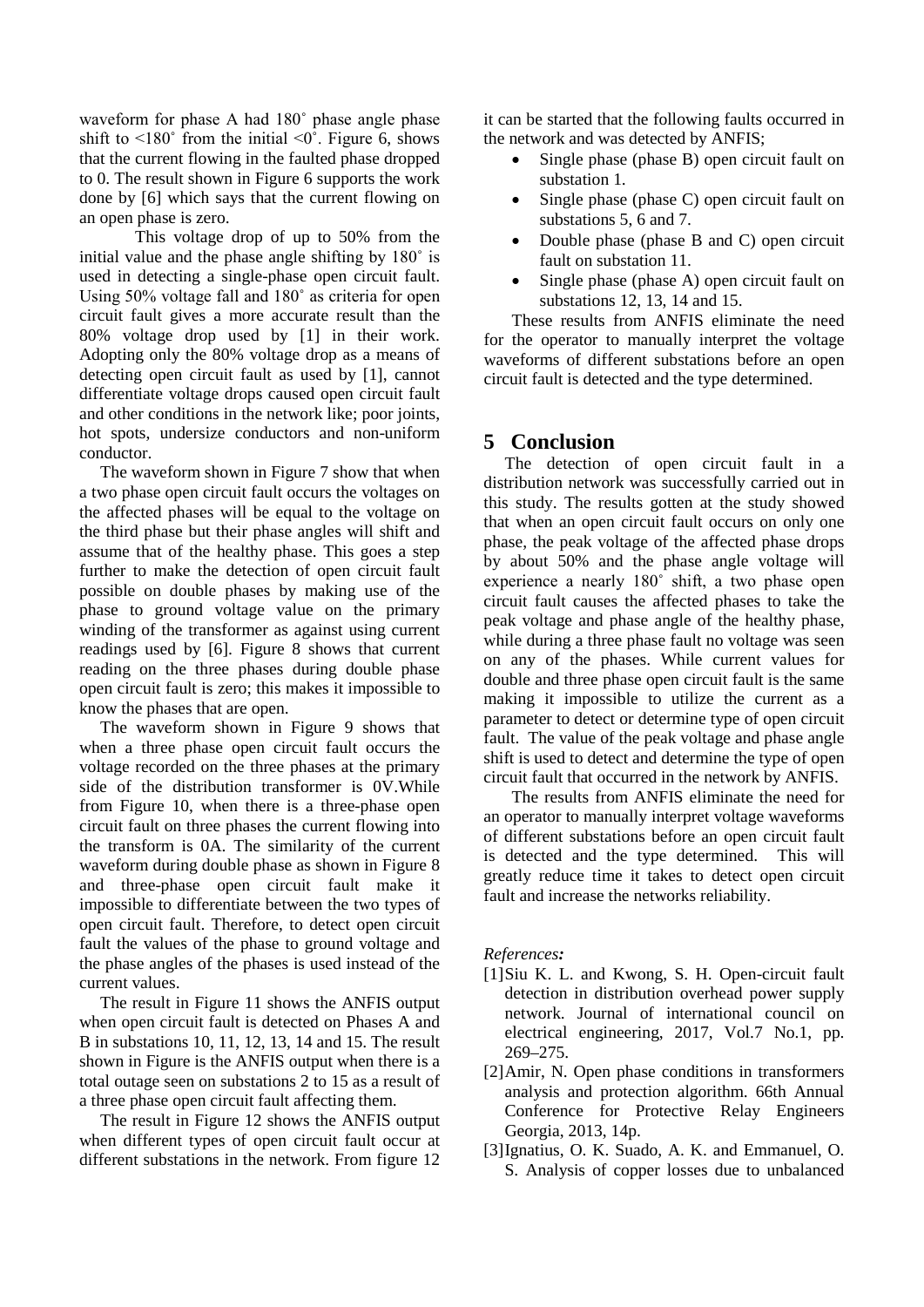waveform for phase A had 180˚ phase angle phase shift to  $\leq 180^\circ$  from the initial  $\leq 0^\circ$ . Figure 6, shows that the current flowing in the faulted phase dropped to 0. The result shown in Figure 6 supports the work done by [6] which says that the current flowing on an open phase is zero.

This voltage drop of up to 50% from the initial value and the phase angle shifting by 180˚ is used in detecting a single-phase open circuit fault. Using 50% voltage fall and 180˚ as criteria for open circuit fault gives a more accurate result than the 80% voltage drop used by [1] in their work. Adopting only the 80% voltage drop as a means of detecting open circuit fault as used by [1], cannot differentiate voltage drops caused open circuit fault and other conditions in the network like; poor joints, hot spots, undersize conductors and non-uniform conductor.

The waveform shown in Figure 7 show that when a two phase open circuit fault occurs the voltages on the affected phases will be equal to the voltage on the third phase but their phase angles will shift and assume that of the healthy phase. This goes a step further to make the detection of open circuit fault possible on double phases by making use of the phase to ground voltage value on the primary winding of the transformer as against using current readings used by [6]. Figure 8 shows that current reading on the three phases during double phase open circuit fault is zero; this makes it impossible to know the phases that are open.

The waveform shown in Figure 9 shows that when a three phase open circuit fault occurs the voltage recorded on the three phases at the primary side of the distribution transformer is 0V.While from Figure 10, when there is a three-phase open circuit fault on three phases the current flowing into the transform is 0A. The similarity of the current waveform during double phase as shown in Figure 8 and three-phase open circuit fault make it impossible to differentiate between the two types of open circuit fault. Therefore, to detect open circuit fault the values of the phase to ground voltage and the phase angles of the phases is used instead of the current values.

The result in Figure 11 shows the ANFIS output when open circuit fault is detected on Phases A and B in substations 10, 11, 12, 13, 14 and 15. The result shown in Figure is the ANFIS output when there is a total outage seen on substations 2 to 15 as a result of a three phase open circuit fault affecting them.

The result in Figure 12 shows the ANFIS output when different types of open circuit fault occur at different substations in the network. From figure 12 it can be started that the following faults occurred in the network and was detected by ANFIS;

- Single phase (phase B) open circuit fault on substation 1.
- Single phase (phase C) open circuit fault on substations 5, 6 and 7.
- Double phase (phase B and C) open circuit fault on substation 11.
- Single phase (phase A) open circuit fault on substations 12, 13, 14 and 15.

These results from ANFIS eliminate the need for the operator to manually interpret the voltage waveforms of different substations before an open circuit fault is detected and the type determined.

# **5 Conclusion**

The detection of open circuit fault in a distribution network was successfully carried out in this study. The results gotten at the study showed that when an open circuit fault occurs on only one phase, the peak voltage of the affected phase drops by about 50% and the phase angle voltage will experience a nearly 180˚ shift, a two phase open circuit fault causes the affected phases to take the peak voltage and phase angle of the healthy phase, while during a three phase fault no voltage was seen on any of the phases. While current values for double and three phase open circuit fault is the same making it impossible to utilize the current as a parameter to detect or determine type of open circuit fault. The value of the peak voltage and phase angle shift is used to detect and determine the type of open circuit fault that occurred in the network by ANFIS.

The results from ANFIS eliminate the need for an operator to manually interpret voltage waveforms of different substations before an open circuit fault is detected and the type determined. This will greatly reduce time it takes to detect open circuit fault and increase the networks reliability.

*References:* 

- [1] Siu K. L. and Kwong, S. H. Open-circuit fault detection in distribution overhead power supply network. Journal of international council on electrical engineering, 2017, Vol.7 No.1, pp. 269–275.
- [2] Amir, N. Open phase conditions in transformers analysis and protection algorithm. 66th Annual Conference for Protective Relay Engineers Georgia, 2013, 14p.
- [3] Ignatius, O. K. Suado, A. K. and Emmanuel, O. S. Analysis of copper losses due to unbalanced